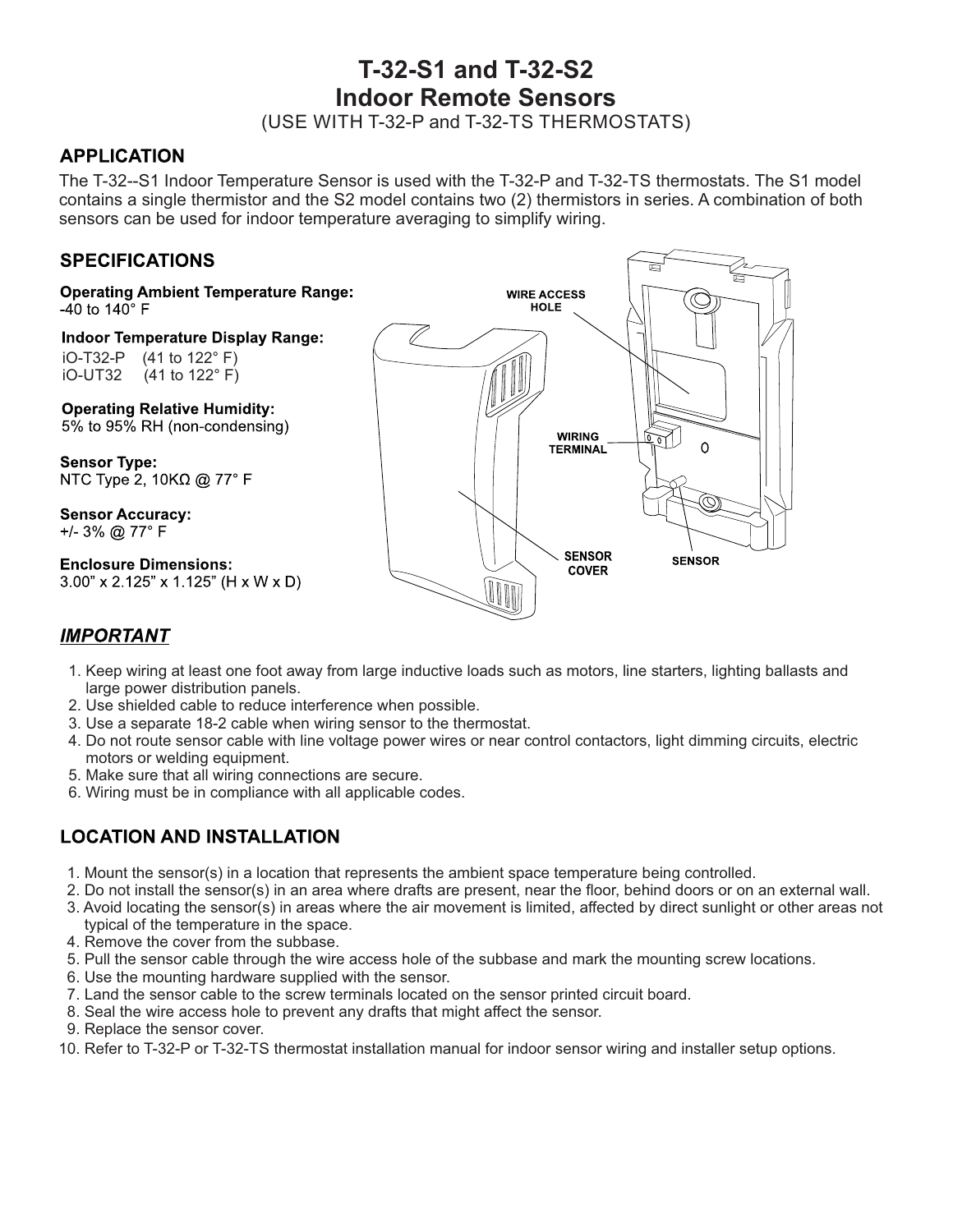# **T-32-S1 and T-32-S2 Indoor Remote Sensors**

(USE WITH T-32-P and T-32-TS THERMOSTATS)

#### **APPLICATION**

The T-32--S1 Indoor Temperature Sensor is used with the T-32-P and T-32-TS thermostats. The S1 model contains a single thermistor and the S2 model contains two (2) thermistors in series. A combination of both sensors can be used for indoor temperature averaging to simplify wiring.

### **SPECIFICATIONS**

**Operating Ambient Temperature Range:** -40 to 140 $^{\circ}$  F

**Indoor Temperature Display Range:** iO-T32-P (41 to 122° F)  $(41$  to 122 $\degree$  F)

**Operating Relative Humidity:** 5% to 95% RH (non-condensing)

**Sensor Type:** NTC Type 2, 10KΩ @ 77° F

**Sensor Accuracy:** +/- 3% @ 77° F

**Enclosure Dimensions:**  $3.00$ " x 2.125" x 1.125" (H x W x D)



#### **IMPORTANT**

- 1. Keep wiring at least one foot away from large inductive loads such as motors, line starters, lighting ballasts and large power distribution panels.
- 2. Use shielded cable to reduce interference when possible.
- 3. Use a separate 18-2 cable when wiring sensor to the thermostat.
- 4. Do not route sensor cable with line voltage power wires or near control contactors, light dimming circuits, electric motors or welding equipment.
- 5. Make sure that all wiring connections are secure.
- 6. Wiring must be in compliance with all applicable codes.

## **LOCATION AND INSTALLATION**

- 1. Mount the sensor(s) in a location that represents the ambient space temperature being controlled.
- 2. Do not install the sensor(s) in an area where drafts are present, near the floor, behind doors or on an external wall.
- 3. Avoid locating the sensor(s) in areas where the air movement is limited, affected by direct sunlight or other areas not typical of the temperature in the space.
- 4. Remove the cover from the subbase.
- 5. Pull the sensor cable through the wire access hole of the subbase and mark the mounting screw locations.
- 6. Use the mounting hardware supplied with the sensor.
- 7. Land the sensor cable to the screw terminals located on the sensor printed circuit board.
- 8. Seal the wire access hole to prevent any drafts that might affect the sensor.
- 9. Replace the sensor cover.
- 10. Refer to T-32-P or T-32-TS thermostat installation manual for indoor sensor wiring and installer setup options.